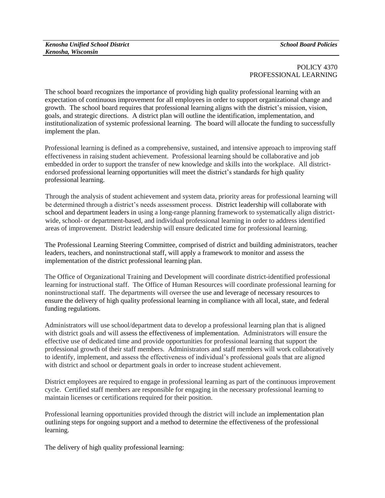## POLICY 4370 PROFESSIONAL LEARNING

The school board recognizes the importance of providing high quality professional learning with an expectation of continuous improvement for all employees in order to support organizational change and growth. The school board requires that professional learning aligns with the district's mission, vision, goals, and strategic directions. A district plan will outline the identification, implementation, and institutionalization of systemic professional learning. The board will allocate the funding to successfully implement the plan.

Professional learning is defined as a comprehensive, sustained, and intensive approach to improving staff effectiveness in raising student achievement. Professional learning should be collaborative and job embedded in order to support the transfer of new knowledge and skills into the workplace. All districtendorsed professional learning opportunities will meet the district's standards for high quality professional learning.

Through the analysis of student achievement and system data, priority areas for professional learning will be determined through a district's needs assessment process. District leadership will collaborate with school and department leaders in using a long-range planning framework to systematically align districtwide, school- or department-based, and individual professional learning in order to address identified areas of improvement. District leadership will ensure dedicated time for professional learning.

The Professional Learning Steering Committee, comprised of district and building administrators, teacher leaders, teachers, and noninstructional staff, will apply a framework to monitor and assess the implementation of the district professional learning plan.

The Office of Organizational Training and Development will coordinate district-identified professional learning for instructional staff. The Office of Human Resources will coordinate professional learning for noninstructional staff. The departments will oversee the use and leverage of necessary resources to ensure the delivery of high quality professional learning in compliance with all local, state, and federal funding regulations.

Administrators will use school/department data to develop a professional learning plan that is aligned with district goals and will assess the effectiveness of implementation. Administrators will ensure the effective use of dedicated time and provide opportunities for professional learning that support the professional growth of their staff members. Administrators and staff members will work collaboratively to identify, implement, and assess the effectiveness of individual's professional goals that are aligned with district and school or department goals in order to increase student achievement.

District employees are required to engage in professional learning as part of the continuous improvement cycle. Certified staff members are responsible for engaging in the necessary professional learning to maintain licenses or certifications required for their position.

Professional learning opportunities provided through the district will include an implementation plan outlining steps for ongoing support and a method to determine the effectiveness of the professional learning.

The delivery of high quality professional learning: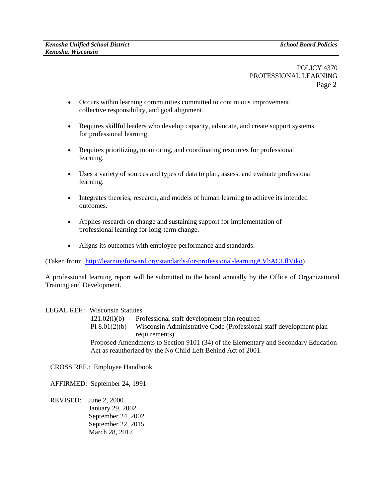POLICY 4370 PROFESSIONAL LEARNING Page 2

- Occurs within learning communities committed to continuous improvement, collective responsibility, and goal alignment.
- Requires skillful leaders who develop capacity, advocate, and create support systems for professional learning.
- Requires prioritizing, monitoring, and coordinating resources for professional learning.
- Uses a variety of sources and types of data to plan, assess, and evaluate professional learning.
- Integrates theories, research, and models of human learning to achieve its intended outcomes.
- Applies research on change and sustaining support for implementation of professional learning for long-term change.
- Aligns its outcomes with employee performance and standards.

(Taken from: [http://learningforward.org/standards-for-professional-learning#.VbACLflViko\)](http://learningforward.org/standards-for-professional-learning#.VbACLflViko)

A professional learning report will be submitted to the board annually by the Office of Organizational Training and Development.

## LEGAL REF.: Wisconsin Statutes

121.02(l)(b) Professional staff development plan required [PI 8.01\(2\)\(b\) Wisconsin Administrative Code \(Professional staff development plan](http://docs.legis.wisconsin.gov/code/admin_code/pi/8/01/2)  [requirements\)](http://docs.legis.wisconsin.gov/code/admin_code/pi/8/01/2) Proposed Amendments to Section 9101 (34) of the Elementary and Secondary Education Act as reauthorized by the No Child Left Behind Act of 2001.

CROSS REF.: Employee Handbook

AFFIRMED: September 24, 1991

REVISED: June 2, 2000 January 29, 2002 September 24, 2002 September 22, 2015 March 28, 2017